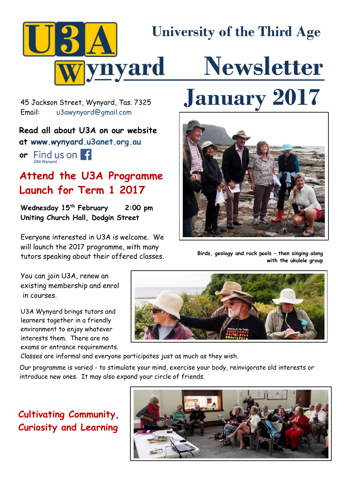

[u3awynyard@gmail.com](mailto:u3awynyard@gmail.com)

## **Read all about U3A on our website**

**at www.wynyard.u3anet.org.au**

**or** Find us on F

# **Attend the U3A Programme Launch for Term 1 2017**

**Wednesday 15th February 2:00 pm Uniting Church Hall, Dodgin Street**

Everyone interested in U3A is welcome. We will launch the 2017 programme, with many tutors speaking about their offered classes.

# 45 Jackson Street, Wynyard, Tas. 7325 **January 2017**



**Birds, geology and rock pools – then singing along with the ukulele group**

You can join U3A, renew an existing membership and enrol in courses.

U3A Wynyard brings tutors and learners together in a friendly environment to enjoy whatever interests them. There are no exams or entrance requirements.



Classes are informal and everyone participates just as much as they wish.

Our programme is varied - to stimulate your mind, exercise your body, reinvigorate old interests or introduce new ones. It may also expand your circle of friends.

# **Cultivating Community, Curiosity and Learning**

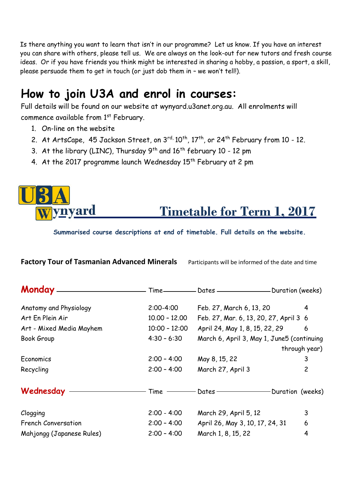. Is there anything you want to learn that isn't in our programme? Let us know. If you have an interest you can share with others, please tell us. We are always on the look-out for new tutors and fresh course ideas. Or if you have friends you think might be interested in sharing a hobby, a passion, a sport, a skill, please persuade them to get in touch (or just dob them in – we won't tell!).

# **How to join U3A and enrol in courses:**

Full details will be found on our website at wynyard.u3anet.org.au. All enrolments will commence available from  $1<sup>st</sup>$  February.

- 1. On-line on the website
- 2. At ArtsCape, 45 Jackson Street, on 3rd, 10<sup>th</sup>, 17<sup>th</sup>, or 24<sup>th</sup> February from 10 12.
- 3. At the library (LINC), Thursday  $9^{th}$  and  $16^{th}$  february 10 12 pm
- 4. At the 2017 programme launch Wednesday 15<sup>th</sup> February at 2 pm

# **Timetable for Term 1, 2017** ynyard

**Factory Tour of Tasmanian Advanced Minerals** Participants will be informed of the date and time

**Summarised course descriptions at end of timetable. Full details on the website.**

| Monday _______________     |                 | Time-Cates -Contest Duration (weeks)       |               |
|----------------------------|-----------------|--------------------------------------------|---------------|
| Anatomy and Physiology     | $2:00 - 4:00$   | Feb. 27, March 6, 13, 20                   | 4             |
| Art En Plein Air           | $10.00 - 12.00$ | Feb. 27, Mar. 6, 13, 20, 27, April 3 6     |               |
| Art - Mixed Media Mayhem   | $10:00 - 12:00$ | April 24, May 1, 8, 15, 22, 29             | 6             |
| Book Group                 | $4:30 - 6:30$   | March 6, April 3, May 1, June5 (continuing |               |
|                            |                 |                                            | through year) |
| Economics                  | $2:00 - 4:00$   | May 8, 15, 22                              | 3             |
| Recycling                  | $2:00 - 4:00$   | March 27, April 3                          | 2             |
| Wednesday ——————           |                 | Time — — Dates — — Duration (weeks)        |               |
| Clogging                   | $2:00 - 4:00$   | March 29, April 5, 12                      | 3             |
| <b>French Conversation</b> | $2:00 - 4:00$   | April 26, May 3, 10, 17, 24, 31            | 6             |
| Mahjongg (Japanese Rules)  | $2:00 - 4:00$   | March 1, 8, 15, 22                         | 4             |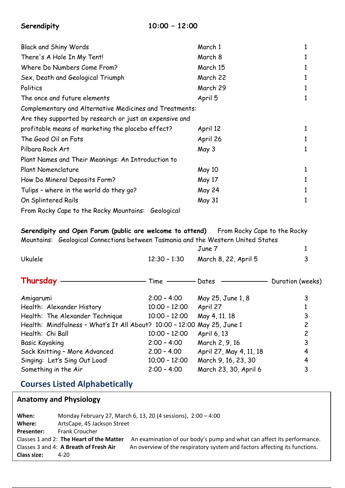| Serendipity |  |
|-------------|--|
|-------------|--|

| <b>Black and Shiny Words</b>                            | March 1       | 1 |
|---------------------------------------------------------|---------------|---|
| There's A Hole In My Tent!                              | March 8       | 1 |
| Where Do Numbers Come From?                             | March 15      |   |
| Sex, Death and Geological Triumph                       | March 22      |   |
| Politics                                                | March 29      |   |
| The once and future elements                            | April 5       | 1 |
| Complementary and Alternative Medicines and Treatments: |               |   |
| Are they supported by research or just an expensive and |               |   |
| profitable means of marketing the placebo effect?       | April 12      | 1 |
| The Good Oil on Fats                                    | April 26      | 1 |
| Pilbara Rock Art                                        | May 3         | 1 |
| Plant Names and Their Meanings: An Introduction to      |               |   |
| Plant Nomenclature                                      | <b>May 10</b> | 1 |
| How Do Mineral Deposits Form?                           | May 17        |   |
| Tulips - where in the world do they go?                 | May 24        | 1 |
| On Splintered Rails                                     | May 31        | 1 |
| From Rocky Cape to the Rocky Mountains: Geological      |               |   |

**Serendipity and Open Forum (public are welcome to attend)** From Rocky Cape to the Rocky Mountains: Geological Connections between Tasmania and the Western United States

|                                                                         |                 | June 7                  |                  |
|-------------------------------------------------------------------------|-----------------|-------------------------|------------------|
| <b>Ukulele</b>                                                          | $12:30 - 1:30$  | March 8, 22, April 5    | 3                |
| Thursday                                                                | Time            | Dates                   | Duration (weeks) |
| Amigarumi                                                               | $2:00 - 4:00$   | May 25, June 1, 8       | 3                |
| Health: Alexander History                                               | $10:00 - 12:00$ | April 27                |                  |
| Health: The Alexander Technique                                         | $10:00 - 12:00$ | May 4, 11, 18           | 3                |
| Health: Mindfulness - What's It All About? 10:00 - 12:00 May 25, June 1 |                 |                         | $\overline{c}$   |
| Health: Chi Ball                                                        | $10:00 - 12:00$ | April 6, 13             | $\overline{c}$   |
| <b>Basic Kayaking</b>                                                   | $2:00 - 4:00$   | March 2, 9, 16          | 3                |
| Sock Knitting - More Advanced                                           | $2.00 - 4.00$   | April 27, May 4, 11, 18 | 4                |
| Singing: Let's Sing Out Load!                                           | $10;00 - 12:00$ | March 9, 16, 23, 30     | 4                |
| Something in the Air                                                    | $2:00 - 4:00$   | March 23, 30, April 6   | 3                |

## **Courses Listed Alphabetically**

### **Anatomy and Physiology**

| When:              |                                          | Monday February 27, March 6, 13, 20 (4 sessions), 2:00 - 4:00              |
|--------------------|------------------------------------------|----------------------------------------------------------------------------|
| Where:             | ArtsCape, 45 Jackson Street              |                                                                            |
| <b>Presenter:</b>  | <b>Frank Croucher</b>                    |                                                                            |
|                    | Classes 1 and 2: The Heart of the Matter | An examination of our body's pump and what can affect its performance.     |
|                    | Classes 3 and 4: A Breath of Fresh Air   | An overview of the respiratory system and factors affecting its functions. |
| <b>Class size:</b> | 4-20                                     |                                                                            |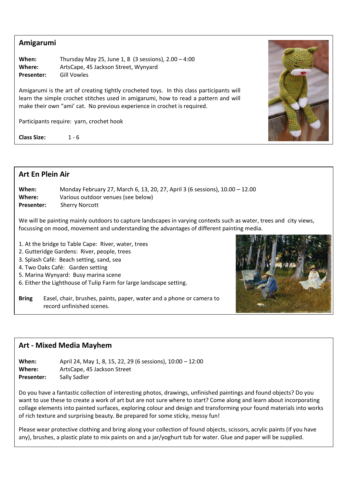#### **Amigarumi**

**When:** Thursday May 25, June 1, 8 (3 sessions), 2.00 – 4:00 **Where:** ArtsCape, 45 Jackson Street, Wynyard **Presenter:** Gill Vowles

Amigarumi is the art of creating tightly crocheted toys. In this class participants will learn the simple crochet stitches used in amigarumi, how to read a pattern and will make their own "ami' cat. No previous experience in crochet is required.

Participants require: yarn, crochet hook

**Class Size:** 1 - 6



## **Art En Plein Air When:** Monday February 27, March 6, 13, 20, 27, April 3 (6 sessions), 10.00 – 12.00 **Where:** Various outdoor venues (see below) **Presenter:** Sherry Norcott We will be painting mainly outdoors to capture landscapes in varying contexts such as water, trees and city views, focussing on mood, movement and understanding the advantages of different painting media. 1. At the bridge to Table Cape: River, water, trees 2. Gutteridge Gardens: River, people, trees 3. Splash Café: Beach setting, sand, sea 4. Two Oaks Café: Garden setting 5. Marina Wynyard: Busy marina scene 6. Either the Lighthouse of Tulip Farm for large landscape setting.

**Bring** Easel, chair, brushes, paints, paper, water and a phone or camera to record unfinished scenes.

#### **Art - Mixed Media Mayhem**

.

**When:** April 24, May 1, 8, 15, 22, 29 (6 sessions), 10:00 – 12:00 **Where:** ArtsCape, 45 Jackson Street Presenter: Sally Sadler

Do you have a fantastic collection of interesting photos, drawings, unfinished paintings and found objects? Do you want to use these to create a work of art but are not sure where to start? Come along and learn about incorporating collage elements into painted surfaces, exploring colour and design and transforming your found materials into works of rich texture and surprising beauty. Be prepared for some sticky, messy fun!

Please wear protective clothing and bring along your collection of found objects, scissors, acrylic paints (if you have any), brushes, a plastic plate to mix paints on and a jar/yoghurt tub for water. Glue and paper will be supplied.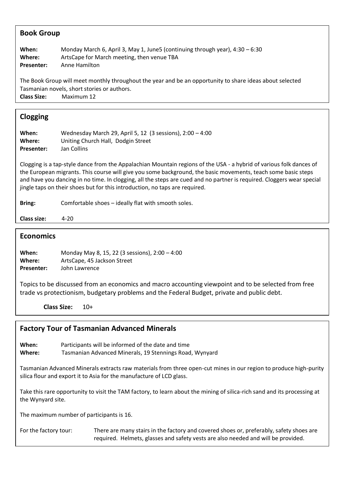| <b>Book Group</b>                    |                                                                                                                                                                                                                                                                                                                                                                                                                                               |
|--------------------------------------|-----------------------------------------------------------------------------------------------------------------------------------------------------------------------------------------------------------------------------------------------------------------------------------------------------------------------------------------------------------------------------------------------------------------------------------------------|
| When:<br>Where:<br><b>Presenter:</b> | Monday March 6, April 3, May 1, June5 (continuing through year), 4:30 - 6:30<br>ArtsCape for March meeting, then venue TBA<br>Anne Hamilton                                                                                                                                                                                                                                                                                                   |
| <b>Class Size:</b>                   | The Book Group will meet monthly throughout the year and be an opportunity to share ideas about selected<br>Tasmanian novels, short stories or authors.<br>Maximum 12                                                                                                                                                                                                                                                                         |
| <b>Clogging</b>                      |                                                                                                                                                                                                                                                                                                                                                                                                                                               |
| When:<br>Where:<br>Presenter:        | Wednesday March 29, April 5, 12 (3 sessions), 2:00 - 4:00<br>Uniting Church Hall, Dodgin Street<br>Jan Collins                                                                                                                                                                                                                                                                                                                                |
|                                      | Clogging is a tap-style dance from the Appalachian Mountain regions of the USA - a hybrid of various folk dances of<br>the European migrants. This course will give you some background, the basic movements, teach some basic steps<br>and have you dancing in no time. In clogging, all the steps are cued and no partner is required. Cloggers wear special<br>jingle taps on their shoes but for this introduction, no taps are required. |
| <b>Bring:</b>                        | Comfortable shoes - ideally flat with smooth soles.                                                                                                                                                                                                                                                                                                                                                                                           |
| <b>Class size:</b>                   | $4 - 20$                                                                                                                                                                                                                                                                                                                                                                                                                                      |
| <b>Economics</b>                     |                                                                                                                                                                                                                                                                                                                                                                                                                                               |
| When:<br>Where:<br><b>Presenter:</b> | Monday May 8, 15, 22 (3 sessions), 2:00 - 4:00<br>ArtsCape, 45 Jackson Street<br>John Lawrence                                                                                                                                                                                                                                                                                                                                                |
|                                      | Topics to be discussed from an economics and macro accounting viewpoint and to be selected from free<br>trade vs protectionism, budgetary problems and the Federal Budget, private and public debt.                                                                                                                                                                                                                                           |
|                                      | <b>Class Size:</b><br>$10+$                                                                                                                                                                                                                                                                                                                                                                                                                   |
|                                      | <b>Factory Tour of Tasmanian Advanced Minerals</b>                                                                                                                                                                                                                                                                                                                                                                                            |

**When:** Participants will be informed of the date and time<br>**Where:** Tasmanian Advanced Minerals. 19 Stennings Road **Where:** Tasmanian Advanced Minerals, 19 Stennings Road, Wynyard

Tasmanian Advanced Minerals extracts raw materials from three open-cut mines in our region to produce high-purity silica flour and export it to Asia for the manufacture of LCD glass.

Take this rare opportunity to visit the TAM factory, to learn about the mining of silica-rich sand and its processing at the Wynyard site.

The maximum number of participants is 16.

For the factory tour: There are many stairs in the factory and covered shoes or, preferably, safety shoes are required. Helmets, glasses and safety vests are also needed and will be provided.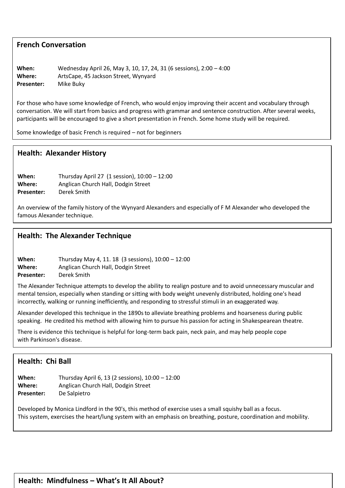#### **French Conversation**

**When:** Wednesday April 26, May 3, 10, 17, 24, 31 (6 sessions), 2:00 – 4:00 **Where:** ArtsCape, 45 Jackson Street, Wynyard **Presenter:** Mike Buky

For those who have some knowledge of French, who would enjoy improving their accent and vocabulary through conversation. We will start from basics and progress with grammar and sentence construction. After several weeks, participants will be encouraged to give a short presentation in French. Some home study will be required.

Some knowledge of basic French is required – not for beginners

#### **Health: Alexander History**

**Class Size:** 2 - 10

**When:** Thursday April 27 (1 session), 10:00 – 12:00 **Where:** Anglican Church Hall, Dodgin Street **Presenter:** Derek Smith

An overview of the family history of the Wynyard Alexanders and especially of F M Alexander who developed the famous Alexander technique.

#### **Health: The Alexander Technique**

**When:** Thursday May 4, 11. 18 (3 sessions), 10:00 – 12:00 **Where:** Anglican Church Hall, Dodgin Street **Presenter:** Derek Smith

The Alexander Technique attempts to develop the ability to realign posture and to avoid unnecessary muscular and mental tension, especially when standing or sitting with body weight unevenly distributed, holding one's head incorrectly, walking or running inefficiently, and responding to stressful stimuli in an exaggerated way.

Alexander developed this technique in the 1890sto alleviate breathing problems and [hoarseness](https://en.wikipedia.org/wiki/Hoarseness) during public speaking. He credited his method with allowing him to pursue his passion for acting in [Shakespearean](https://en.wikipedia.org/wiki/Shakespearean) theatre.

There is evidence this technique is helpful for long-term back pain, neck pain, and may help people cope with [Parkinson's disease.](https://en.wikipedia.org/wiki/Parkinson%27s_disease)

#### **Health: Chi Ball**

| When:             | Thursday April 6, 13 (2 sessions), 10:00 - 12:00 |
|-------------------|--------------------------------------------------|
| Where:            | Anglican Church Hall, Dodgin Street              |
| <b>Presenter:</b> | De Salpietro                                     |

Developed by Monica Lindford in the 90's, this method of exercise uses a small squishy ball as a focus. This system, exercises the heart/lung system with an emphasis on breathing, posture, coordination and mobility.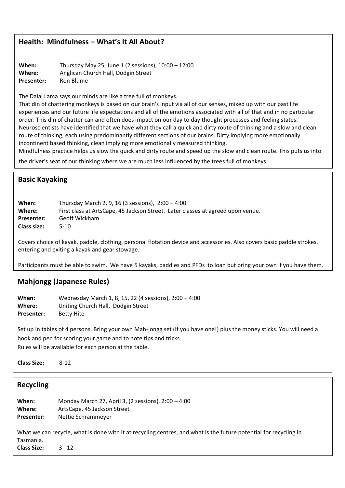#### **Health: Mindfulness – What's It All About?**

**When:** Thursday May 25, June 1 (2 sessions), 10:00 – 12:00 **Where:** Anglican Church Hall, Dodgin Street Presenter: Ron Blume

The Dalai Lama says our minds are like a tree full of monkeys.

That din of chattering monkeys is based on our brain's input via all of our senses, mixed up with our past life experiences and our future life expectations and all of the emotions associated with all of that and in no particular order. This din of chatter can and often does impact on our day to day thought processes and feeling states. Neuroscientists have identified that we have what they call a quick and dirty route of thinking and a slow and clean route of thinking, each using predominantly different sections of our brains. Dirty implying more emotionally incontinent based thinking, clean implying more emotionally measured thinking.

Mindfulness practice helps us slow the quick and dirty route and speed up the slow and clean route. This puts us into

the driver's seat of our thinking where we are much less influenced by the trees full of monkeys.

#### **Basic Kayaking**

| When:              | Thursday March 2, 9, 16 (3 sessions), $2:00 - 4:00$                             |
|--------------------|---------------------------------------------------------------------------------|
| Where:             | First class at ArtsCape, 45 Jackson Street. Later classes at agreed upon venue. |
| <b>Presenter:</b>  | Geoff Wickham                                                                   |
| <b>Class size:</b> | 5-10                                                                            |

Covers choice of kayak, paddle, clothing, personal flotation device and accessories. Also covers basic paddle strokes, entering and exiting a kayak and gear stowage.

Participants must be able to swim. We have 5 kayaks, paddles and PFDs to loan but bring your own if you have them.

#### **Mahjongg (Japanese Rules)**

**When:** Wednesday March 1, 8, 15, 22 (4 sessions), 2:00 – 4:00 **Where:** Uniting Church Hall, Dodgin Street Presenter: Betty Hite

Set up in tables of 4 persons. Bring your own Mah-jongg set (If you have one!) plus the money sticks. You will need a book and pen for scoring your game and to note tips and tricks. Rules will be available for each person at the table.

**Class Size:** 8-12

| Recycling          |                                                                                                                   |
|--------------------|-------------------------------------------------------------------------------------------------------------------|
| When:              | Monday March 27, April 3, (2 sessions), $2:00 - 4:00$                                                             |
| Where:             | ArtsCape, 45 Jackson Street                                                                                       |
| Presenter:         | Nettie Schrammeyer                                                                                                |
| Tasmania.          | What we can recycle, what is done with it at recycling centres, and what is the future potential for recycling in |
| <b>Class Size:</b> | $3 - 12$                                                                                                          |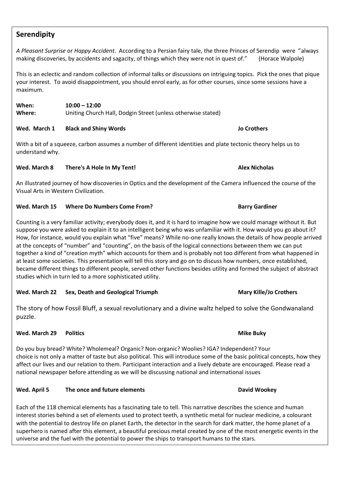### **Serendipity**

*A Pleasant Surprise* or *Happy Accident*. According to a Persian fairy tale, the three Princes of Serendip were "always making discoveries, by accidents and sagacity, of things which they were not in quest of." (Horace Walpole)

This is an eclectic and random collection of informal talks or discussions on intriguing topics. Pick the ones that pique your interest. To avoid disappointment, you should enrol early, as for other courses, since some sessions have a maximum.

**When: 10:00 – 12:00 Where:** Uniting Church Hall, Dodgin Street (unless otherwise stated)

#### **Wed. March 1 Black and Shiny Words Jo Crothers**

With a bit of a squeeze, carbon assumes a number of different identities and plate tectonic theory helps us to understand why.

#### **Wed. March 8 There's A Hole In My Tent! Alex Nicholas**

An illustrated journey of how discoveries in Optics and the development of the Camera influenced the course of the Visual Arts in Western Civilization.

#### **Wed. March 15 Where Do Numbers Come From? Barry Gardiner Barry Gardiner**

Counting is a very familiar activity; everybody does it, and it is hard to imagine how we could manage without it. But suppose you were asked to explain it to an intelligent being who was unfamiliar with it. How would you go about it? How, for instance, would you explain what "five" means? While no-one really knows the details of how people arrived at the concepts of "number" and "counting", on the basis of the logical connections between them we can put together a kind of "creation myth" which accounts for them and is probably not too different from what happened in at least some societies. This presentation will tell this story and go on to discuss how numbers, once established, became different things to different people, served other functions besides utility and formed the subject of abstract studies which in turn led to a more sophisticated utility.

#### **Wed. March 22 Sex, Death and Geological Triumph Mary Kille/Jo Crothers**

The story of how Fossil Bluff, a sexual revolutionary and a divine waltz helped to solve the Gondwanaland puzzle.

#### **Med. March 29 Politics <b>Mike Buky Mike Buky Mike Buky**

Do you buy bread? White? Wholemeal? Organic? Non-organic? Woolies? IGA? Independent? Your choice is not only a matter of taste but also political. This will introduce some of the basic political concepts, how they affect our lives and our relation to them. Participant interaction and a lively debate are encouraged. Please read a national newspaper before attending as we will be discussing national and international issues

#### **Wed. April 5 The once and future elements David Wookey**

Each of the 118 chemical elements has a fascinating tale to tell. This narrative describes the science and human interest stories behind a set of elements used to protect teeth, a synthetic metal for nuclear medicine, a colourant with the potential to destroy life on planet Earth, the detector in the search for dark matter, the home planet of a superhero is named after this element, a beautiful precious metal created by one of the most energetic events in the universe and the fuel with the potential to power the ships to transport humans to the stars.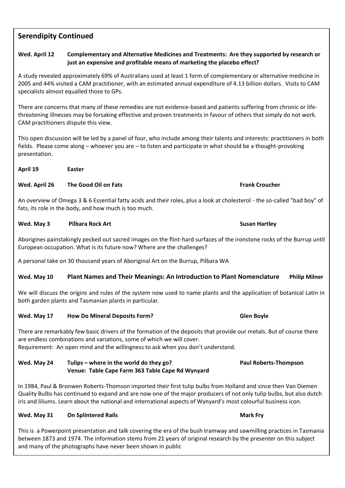#### **Serendipity Continued**

#### **Wed. April 12 Complementary and Alternative Medicines and Treatments: Are they supported by research or just an expensive and profitable means of marketing the placebo effect?**

A study revealed approximately 69% of Australians used at least 1 form of complementary or alternative medicine in 2005 and 44% visited a CAM practitioner, with an estimated annual expenditure of 4.13 billion dollars. Visits to CAM specialists almost equalled those to GPs.

There are concerns that many of these remedies are not evidence-based and patients suffering from chronic or lifethreatening illnesses may be forsaking effective and proven treatments in favour of others that simply do not work. CAM practitioners dispute this view.

This open discussion will be led by a panel of four, who include among their talents and interests: practitioners in both fields. Please come along – whoever you are – to listen and participate in what should be a thought-provoking presentation.

**April 19 Easter**

#### **Wed. April 26 The Good Oil on Fats Frank Croucher Frank Croucher**

An overview of Omega 3 & 6 Essential fatty acids and their roles, plus a look at cholesterol - the so-called "bad boy" of fats, its role in the body, and how much is too much.

#### **Wed. May 3 Pilbara Rock Art Susan Hartley Susan Hartley Susan Hartley**

Aborigines painstakingly pecked out sacred images on the flint-hard surfaces of the ironstone rocks of the Burrup until European occupation. What is its future now? Where are the challenges?

A personal take on 30 thousand years of Aboriginal Art on the Burrup, Pilbara WA

#### **Wed. May 10 Plant Names and Their Meanings: An Introduction to Plant Nomenclature Philip Milner**

We will discuss the origins and rules of the system now used to name plants and the application of botanical Latin in both garden plants and Tasmanian plants in particular.

#### **Wed. May 17 How Do Mineral Deposits Form? Glen Boyle**

There are remarkably few basic drivers of the formation of the deposits that provide our metals. But of course there are endless combinations and variations, some of which we will cover. Requirement: An open mind and the willingness to ask when you don't understand.

**Wed. May 24 Tulips – where in the world do they go? Paul Roberts-Thompson Venue: Table Cape Farm 363 Table Cape Rd Wynyard**

In 1984, Paul & Bronwen Roberts-Thomson imported their first tulip bulbs from Holland and since then Van Diemen Quality Bulbs has continued to expand and are now one of the major producers of not only tulip bulbs, but also dutch iris and liliums. Learn about the national and international aspects of Wynyard's most colourful business icon.

#### **Wed. May 31 •• On Splintered Rails <b>Mark Fry Mark Fry**

This is a Powerpoint presentation and talk covering the era of the bush tramway and sawmilling practices in Tasmania between 1873 and 1974. The information stems from 21 years of original research by the presenter on this subject and many of the photographs have never been shown in public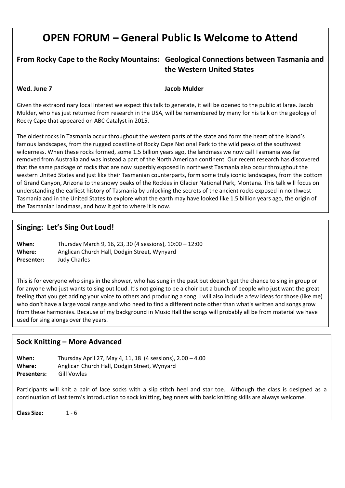# **OPEN FORUM – General Public Is Welcome to Attend**

#### **From Rocky Cape to the Rocky Mountains: Geological Connections between Tasmania and the Western United States**

#### **Wed. June 7 Jacob Mulder**

Given the extraordinary local interest we expect this talk to generate, it will be opened to the public at large. Jacob Mulder, who has just returned from research in the USA, will be remembered by many for his talk on the geology of Rocky Cape that appeared on ABC Catalyst in 2015.

The oldest rocks in Tasmania occur throughout the western parts of the state and form the heart of the island's famous landscapes, from the rugged coastline of Rocky Cape National Park to the wild peaks of the southwest wilderness. When these rocks formed, some 1.5 billion years ago, the landmass we now call Tasmania was far removed from Australia and was instead a part of the North American continent. Our recent research has discovered that the same package of rocks that are now superbly exposed in northwest Tasmania also occur throughout the western United States and just like their Tasmanian counterparts, form some truly iconic landscapes, from the bottom of Grand Canyon, Arizona to the snowy peaks of the Rockies in Glacier National Park, Montana. This talk will focus on understanding the earliest history of Tasmania by unlocking the secrets of the ancient rocks exposed in northwest Tasmania and in the United States to explore what the earth may have looked like 1.5 billion years ago, the origin of the Tasmanian landmass, and how it got to where it is now.

#### **Singing: Let's Sing Out Loud!**

**When:** Thursday March 9, 16, 23, 30 (4 sessions), 10:00 – 12:00 **Where:** Anglican Church Hall, Dodgin Street, Wynyard **Presenter:** Judy Charles

This is for everyone who sings in the shower, who has sung in the past but doesn't get the chance to sing in group or for anyone who just wants to sing out loud. It's not going to be a choir but a bunch of people who just want the great feeling that you get adding your voice to others and producing a song. I will also include a few ideas for those (like me) who don't have a large vocal range and who need to find a different note other than what's written and songs grow from these harmonies. Because of my background in Music Hall the songs will probably all be from material we have used for sing alongs over the years.

#### **Sock Knitting – More Advanced**

**When:** Thursday April 27, May 4, 11, 18 (4 sessions), 2.00 – 4.00 **Where:** Anglican Church Hall, Dodgin Street, Wynyard **Presenters:** Gill Vowles

Participants will knit a pair of lace socks with a slip stitch heel and star toe. Although the class is designed as a continuation of last term's introduction to sock knitting, beginners with basic knitting skills are always welcome.

**Class Size:** 1 - 6